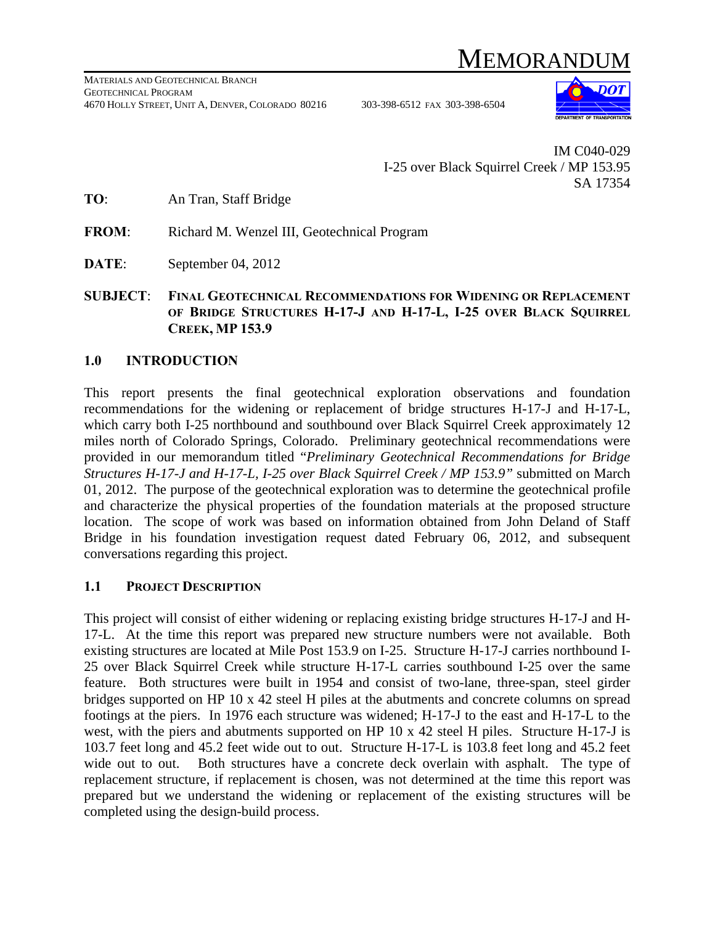# MEMORANDU



IM C040-029 I-25 over Black Squirrel Creek / MP 153.95 SA 17354

**TO**: An Tran, Staff Bridge

**FROM**: Richard M. Wenzel III, Geotechnical Program

**DATE**: September 04, 2012

**SUBJECT**: **FINAL GEOTECHNICAL RECOMMENDATIONS FOR WIDENING OR REPLACEMENT OF BRIDGE STRUCTURES H-17-J AND H-17-L, I-25 OVER BLACK SQUIRREL CREEK, MP 153.9** 

### **1.0 INTRODUCTION**

This report presents the final geotechnical exploration observations and foundation recommendations for the widening or replacement of bridge structures H-17-J and H-17-L, which carry both I-25 northbound and southbound over Black Squirrel Creek approximately 12 miles north of Colorado Springs, Colorado. Preliminary geotechnical recommendations were provided in our memorandum titled "*Preliminary Geotechnical Recommendations for Bridge Structures H-17-J and H-17-L, I-25 over Black Squirrel Creek / MP 153.9"* submitted on March 01, 2012. The purpose of the geotechnical exploration was to determine the geotechnical profile and characterize the physical properties of the foundation materials at the proposed structure location. The scope of work was based on information obtained from John Deland of Staff Bridge in his foundation investigation request dated February 06, 2012, and subsequent conversations regarding this project.

#### **1.1 PROJECT DESCRIPTION**

This project will consist of either widening or replacing existing bridge structures H-17-J and H-17-L. At the time this report was prepared new structure numbers were not available. Both existing structures are located at Mile Post 153.9 on I-25. Structure H-17-J carries northbound I-25 over Black Squirrel Creek while structure H-17-L carries southbound I-25 over the same feature. Both structures were built in 1954 and consist of two-lane, three-span, steel girder bridges supported on HP 10 x 42 steel H piles at the abutments and concrete columns on spread footings at the piers. In 1976 each structure was widened; H-17-J to the east and H-17-L to the west, with the piers and abutments supported on HP 10 x 42 steel H piles. Structure H-17-J is 103.7 feet long and 45.2 feet wide out to out. Structure H-17-L is 103.8 feet long and 45.2 feet wide out to out. Both structures have a concrete deck overlain with asphalt. The type of replacement structure, if replacement is chosen, was not determined at the time this report was prepared but we understand the widening or replacement of the existing structures will be completed using the design-build process.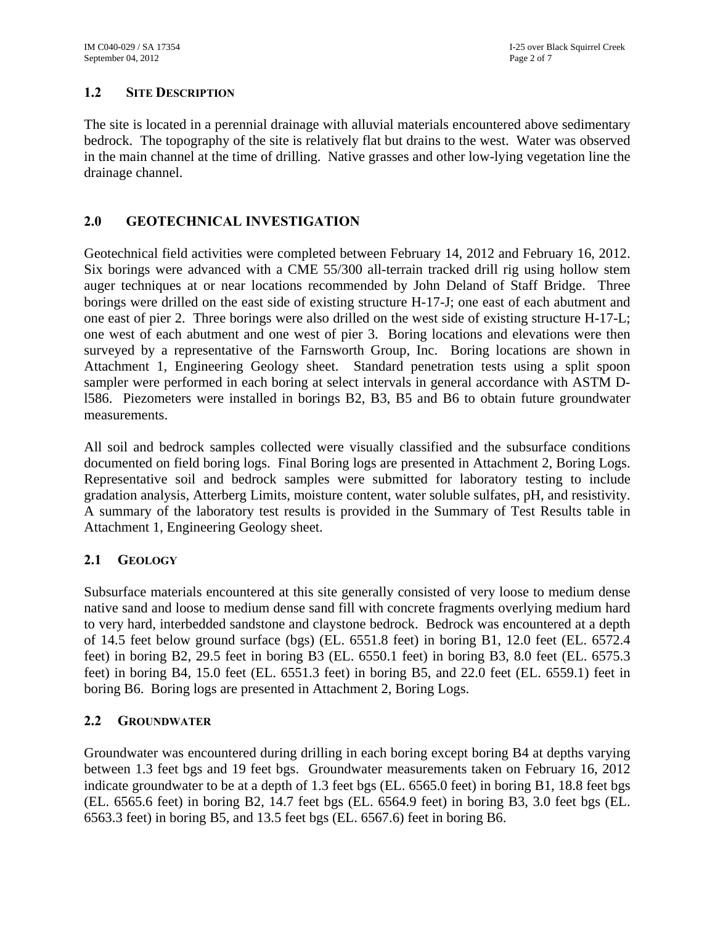#### **1.2 SITE DESCRIPTION**

The site is located in a perennial drainage with alluvial materials encountered above sedimentary bedrock. The topography of the site is relatively flat but drains to the west. Water was observed in the main channel at the time of drilling. Native grasses and other low-lying vegetation line the drainage channel.

## **2.0 GEOTECHNICAL INVESTIGATION**

Geotechnical field activities were completed between February 14, 2012 and February 16, 2012. Six borings were advanced with a CME 55/300 all-terrain tracked drill rig using hollow stem auger techniques at or near locations recommended by John Deland of Staff Bridge. Three borings were drilled on the east side of existing structure H-17-J; one east of each abutment and one east of pier 2. Three borings were also drilled on the west side of existing structure H-17-L; one west of each abutment and one west of pier 3. Boring locations and elevations were then surveyed by a representative of the Farnsworth Group, Inc. Boring locations are shown in Attachment 1, Engineering Geology sheet. Standard penetration tests using a split spoon sampler were performed in each boring at select intervals in general accordance with ASTM Dl586. Piezometers were installed in borings B2, B3, B5 and B6 to obtain future groundwater measurements.

All soil and bedrock samples collected were visually classified and the subsurface conditions documented on field boring logs. Final Boring logs are presented in Attachment 2, Boring Logs. Representative soil and bedrock samples were submitted for laboratory testing to include gradation analysis, Atterberg Limits, moisture content, water soluble sulfates, pH, and resistivity. A summary of the laboratory test results is provided in the Summary of Test Results table in Attachment 1, Engineering Geology sheet.

#### **2.1 GEOLOGY**

Subsurface materials encountered at this site generally consisted of very loose to medium dense native sand and loose to medium dense sand fill with concrete fragments overlying medium hard to very hard, interbedded sandstone and claystone bedrock. Bedrock was encountered at a depth of 14.5 feet below ground surface (bgs) (EL. 6551.8 feet) in boring B1, 12.0 feet (EL. 6572.4 feet) in boring B2, 29.5 feet in boring B3 (EL. 6550.1 feet) in boring B3, 8.0 feet (EL. 6575.3 feet) in boring B4, 15.0 feet (EL. 6551.3 feet) in boring B5, and 22.0 feet (EL. 6559.1) feet in boring B6. Boring logs are presented in Attachment 2, Boring Logs.

#### **2.2 GROUNDWATER**

Groundwater was encountered during drilling in each boring except boring B4 at depths varying between 1.3 feet bgs and 19 feet bgs. Groundwater measurements taken on February 16, 2012 indicate groundwater to be at a depth of 1.3 feet bgs (EL. 6565.0 feet) in boring B1, 18.8 feet bgs (EL. 6565.6 feet) in boring B2, 14.7 feet bgs (EL. 6564.9 feet) in boring B3, 3.0 feet bgs (EL. 6563.3 feet) in boring B5, and 13.5 feet bgs (EL. 6567.6) feet in boring B6.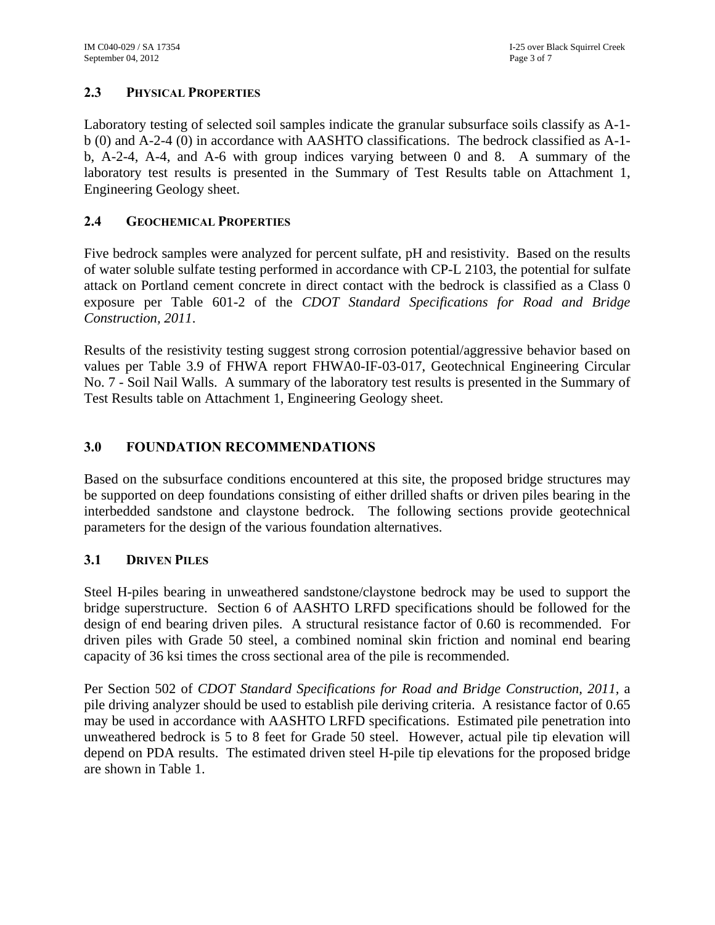#### **2.3 PHYSICAL PROPERTIES**

Laboratory testing of selected soil samples indicate the granular subsurface soils classify as A-1 b (0) and A-2-4 (0) in accordance with AASHTO classifications. The bedrock classified as A-1 b, A-2-4, A-4, and A-6 with group indices varying between 0 and 8. A summary of the laboratory test results is presented in the Summary of Test Results table on Attachment 1, Engineering Geology sheet.

#### **2.4 GEOCHEMICAL PROPERTIES**

Five bedrock samples were analyzed for percent sulfate, pH and resistivity. Based on the results of water soluble sulfate testing performed in accordance with CP-L 2103, the potential for sulfate attack on Portland cement concrete in direct contact with the bedrock is classified as a Class 0 exposure per Table 601-2 of the *CDOT Standard Specifications for Road and Bridge Construction, 2011*.

Results of the resistivity testing suggest strong corrosion potential/aggressive behavior based on values per Table 3.9 of FHWA report FHWA0-IF-03-017, Geotechnical Engineering Circular No. 7 - Soil Nail Walls. A summary of the laboratory test results is presented in the Summary of Test Results table on Attachment 1, Engineering Geology sheet.

#### **3.0 FOUNDATION RECOMMENDATIONS**

Based on the subsurface conditions encountered at this site, the proposed bridge structures may be supported on deep foundations consisting of either drilled shafts or driven piles bearing in the interbedded sandstone and claystone bedrock. The following sections provide geotechnical parameters for the design of the various foundation alternatives.

#### **3.1 DRIVEN PILES**

Steel H-piles bearing in unweathered sandstone/claystone bedrock may be used to support the bridge superstructure. Section 6 of AASHTO LRFD specifications should be followed for the design of end bearing driven piles. A structural resistance factor of 0.60 is recommended. For driven piles with Grade 50 steel, a combined nominal skin friction and nominal end bearing capacity of 36 ksi times the cross sectional area of the pile is recommended.

Per Section 502 of *CDOT Standard Specifications for Road and Bridge Construction, 2011,* a pile driving analyzer should be used to establish pile deriving criteria. A resistance factor of 0.65 may be used in accordance with AASHTO LRFD specifications. Estimated pile penetration into unweathered bedrock is 5 to 8 feet for Grade 50 steel. However, actual pile tip elevation will depend on PDA results. The estimated driven steel H-pile tip elevations for the proposed bridge are shown in Table 1.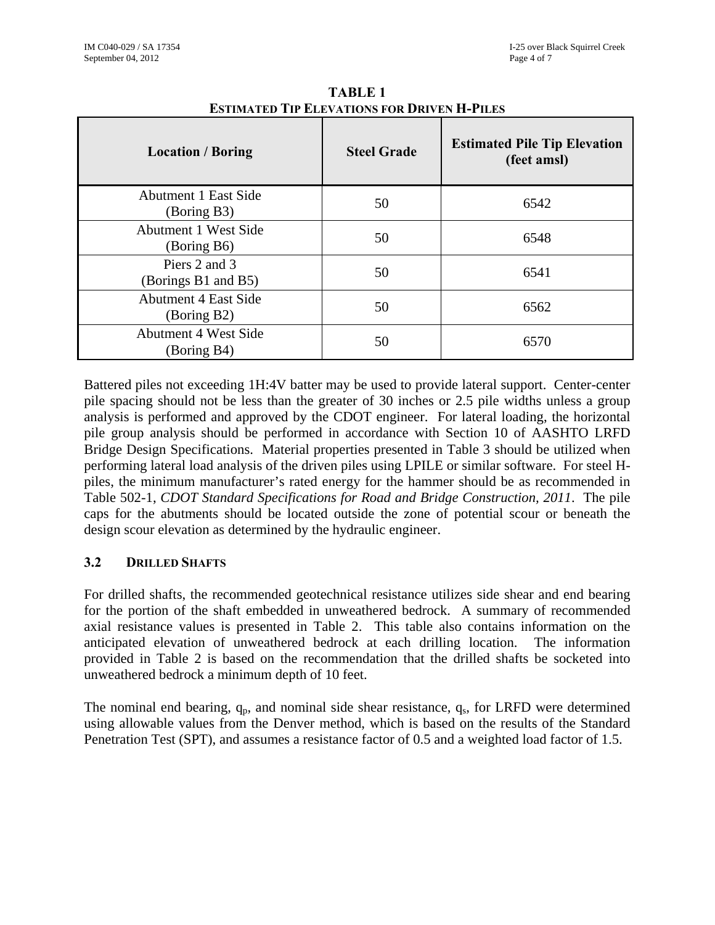| <b>Location / Boring</b>                   | <b>Steel Grade</b> | <b>Estimated Pile Tip Elevation</b><br>(feet amsl) |
|--------------------------------------------|--------------------|----------------------------------------------------|
| <b>Abutment 1 East Side</b><br>(Boring B3) | 50                 | 6542                                               |
| <b>Abutment 1 West Side</b><br>(Boring B6) | 50                 | 6548                                               |
| Piers 2 and 3<br>(Borings B1 and B5)       | 50                 | 6541                                               |
| <b>Abutment 4 East Side</b><br>(Boring B2) | 50                 | 6562                                               |
| <b>Abutment 4 West Side</b><br>(Boring B4) | 50                 | 6570                                               |

**TABLE 1 ESTIMATED TIP ELEVATIONS FOR DRIVEN H-PILES**

Battered piles not exceeding 1H:4V batter may be used to provide lateral support. Center-center pile spacing should not be less than the greater of 30 inches or 2.5 pile widths unless a group analysis is performed and approved by the CDOT engineer. For lateral loading, the horizontal pile group analysis should be performed in accordance with Section 10 of AASHTO LRFD Bridge Design Specifications. Material properties presented in Table 3 should be utilized when performing lateral load analysis of the driven piles using LPILE or similar software. For steel Hpiles, the minimum manufacturer's rated energy for the hammer should be as recommended in Table 502-1, *CDOT Standard Specifications for Road and Bridge Construction, 2011*. The pile caps for the abutments should be located outside the zone of potential scour or beneath the design scour elevation as determined by the hydraulic engineer.

## **3.2 DRILLED SHAFTS**

For drilled shafts, the recommended geotechnical resistance utilizes side shear and end bearing for the portion of the shaft embedded in unweathered bedrock. A summary of recommended axial resistance values is presented in Table 2. This table also contains information on the anticipated elevation of unweathered bedrock at each drilling location. The information provided in Table 2 is based on the recommendation that the drilled shafts be socketed into unweathered bedrock a minimum depth of 10 feet.

The nominal end bearing,  $q_p$ , and nominal side shear resistance,  $q_s$ , for LRFD were determined using allowable values from the Denver method, which is based on the results of the Standard Penetration Test (SPT), and assumes a resistance factor of 0.5 and a weighted load factor of 1.5.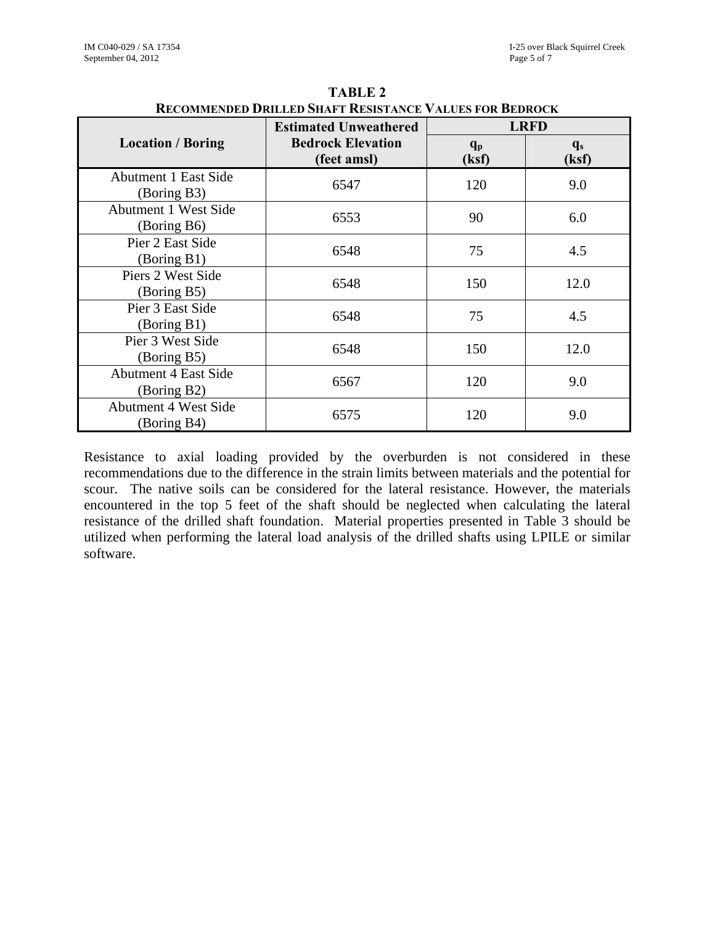|                                            | RECOMMENDED DRIEEED SHAFT RESISTANCE VALUES FOR DEDROCK<br><b>Estimated Unweathered</b> |                  | <b>LRFD</b>    |
|--------------------------------------------|-----------------------------------------------------------------------------------------|------------------|----------------|
| <b>Location / Boring</b>                   | <b>Bedrock Elevation</b><br>(feet amsl)                                                 | $q_{p}$<br>(ksf) | $q_s$<br>(ksf) |
| <b>Abutment 1 East Side</b><br>(Boring B3) | 6547                                                                                    | 120              | 9.0            |
| <b>Abutment 1 West Side</b><br>(Boring B6) | 6553                                                                                    | 90               | 6.0            |
| Pier 2 East Side<br>(Boring B1)            | 6548                                                                                    | 75               | 4.5            |
| Piers 2 West Side<br>(Boring B5)           | 6548                                                                                    | 150              | 12.0           |
| Pier 3 East Side<br>(Boring B1)            | 6548                                                                                    | 75               | 4.5            |
| Pier 3 West Side<br>(Boring B5)            | 6548                                                                                    | 150              | 12.0           |
| <b>Abutment 4 East Side</b><br>(Boring B2) | 6567                                                                                    | 120              | 9.0            |
| <b>Abutment 4 West Side</b><br>(Boring B4) | 6575                                                                                    | 120              | 9.0            |

| <b>TABLE 2</b>                                                 |
|----------------------------------------------------------------|
| <b>RECOMMENDED DRILLED SHAFT RESISTANCE VALUES FOR BEDROCK</b> |

Resistance to axial loading provided by the overburden is not considered in these recommendations due to the difference in the strain limits between materials and the potential for scour. The native soils can be considered for the lateral resistance. However, the materials encountered in the top 5 feet of the shaft should be neglected when calculating the lateral resistance of the drilled shaft foundation. Material properties presented in Table 3 should be utilized when performing the lateral load analysis of the drilled shafts using LPILE or similar software.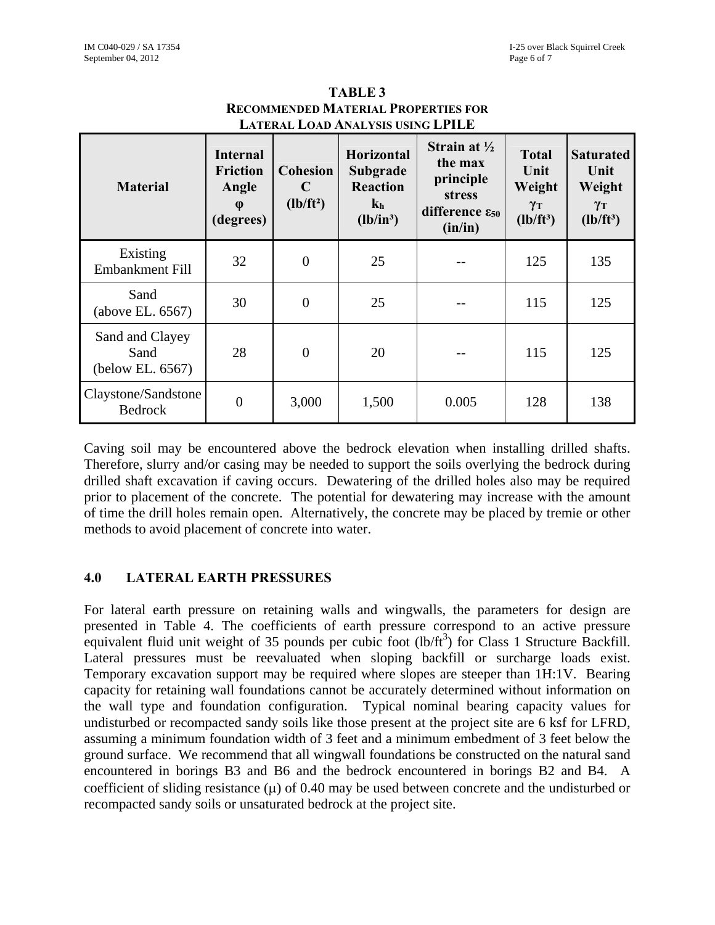| <b>Material</b>                             | <b>Internal</b><br><b>Friction</b><br>Angle<br>$\phi$<br>(degrees) | <b>Cohesion</b><br>C<br>$(lb/ft^2)$ | <b>Horizontal</b><br>Subgrade<br><b>Reaction</b><br>$\mathbf{k}_h$<br>$(lb/in^3)$ | Strain at $\frac{1}{2}$<br>the max<br>principle<br><b>stress</b><br>difference $\varepsilon_{50}$<br>(in/in) | <b>Total</b><br>Unit<br>Weight<br>$\gamma_T$<br>$(lb/ft^3)$ | <b>Saturated</b><br>Unit<br>Weight<br>$\gamma_T$<br>$(lb/ft^3)$ |
|---------------------------------------------|--------------------------------------------------------------------|-------------------------------------|-----------------------------------------------------------------------------------|--------------------------------------------------------------------------------------------------------------|-------------------------------------------------------------|-----------------------------------------------------------------|
| Existing<br><b>Embankment Fill</b>          | 32                                                                 | $\overline{0}$                      | 25                                                                                |                                                                                                              | 125                                                         | 135                                                             |
| Sand<br>(above EL. 6567)                    | 30                                                                 | $\overline{0}$                      | 25                                                                                |                                                                                                              | 115                                                         | 125                                                             |
| Sand and Clayey<br>Sand<br>(below EL. 6567) | 28                                                                 | $\overline{0}$                      | 20                                                                                |                                                                                                              | 115                                                         | 125                                                             |
| Claystone/Sandstone<br><b>Bedrock</b>       | $\overline{0}$                                                     | 3,000                               | 1,500                                                                             | 0.005                                                                                                        | 128                                                         | 138                                                             |

**TABLE 3 RECOMMENDED MATERIAL PROPERTIES FOR LATERAL LOAD ANALYSIS USING LPILE**

Caving soil may be encountered above the bedrock elevation when installing drilled shafts. Therefore, slurry and/or casing may be needed to support the soils overlying the bedrock during drilled shaft excavation if caving occurs. Dewatering of the drilled holes also may be required prior to placement of the concrete. The potential for dewatering may increase with the amount of time the drill holes remain open. Alternatively, the concrete may be placed by tremie or other methods to avoid placement of concrete into water.

#### **4.0 LATERAL EARTH PRESSURES**

For lateral earth pressure on retaining walls and wingwalls, the parameters for design are presented in Table 4. The coefficients of earth pressure correspond to an active pressure equivalent fluid unit weight of 35 pounds per cubic foot  $(lb/ft^3)$  for Class 1 Structure Backfill. Lateral pressures must be reevaluated when sloping backfill or surcharge loads exist. Temporary excavation support may be required where slopes are steeper than 1H:1V. Bearing capacity for retaining wall foundations cannot be accurately determined without information on the wall type and foundation configuration. Typical nominal bearing capacity values for undisturbed or recompacted sandy soils like those present at the project site are 6 ksf for LFRD, assuming a minimum foundation width of 3 feet and a minimum embedment of 3 feet below the ground surface. We recommend that all wingwall foundations be constructed on the natural sand encountered in borings B3 and B6 and the bedrock encountered in borings B2 and B4. A coefficient of sliding resistance ( $\mu$ ) of 0.40 may be used between concrete and the undisturbed or recompacted sandy soils or unsaturated bedrock at the project site.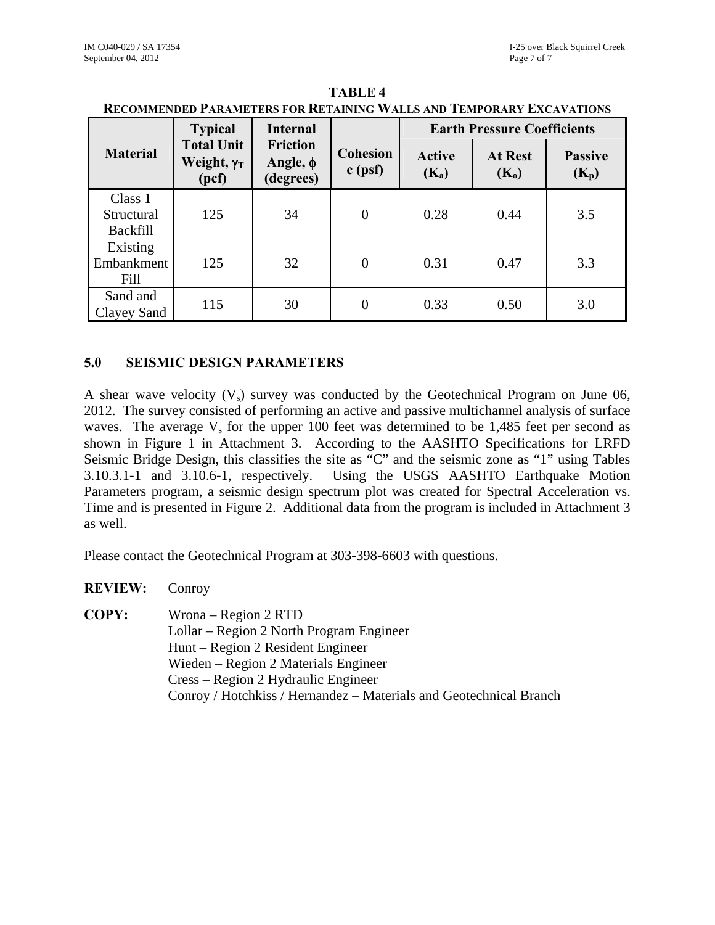|                                          | <b>Typical</b>                                   | <b>Internal</b>                            |                              | <b>Earth Pressure Coefficients</b> |                           |                           |  |  |  |
|------------------------------------------|--------------------------------------------------|--------------------------------------------|------------------------------|------------------------------------|---------------------------|---------------------------|--|--|--|
| <b>Material</b>                          | <b>Total Unit</b><br>Weight, $\gamma_T$<br>(pcf) | <b>Friction</b><br>Angle, $φ$<br>(degrees) | <b>Cohesion</b><br>$c$ (psf) | <b>Active</b><br>$(K_a)$           | <b>At Rest</b><br>$(K_0)$ | <b>Passive</b><br>$(K_p)$ |  |  |  |
| Class 1<br>Structural<br><b>Backfill</b> | 125                                              | 34                                         | $\overline{0}$               | 0.28                               | 0.44                      | 3.5                       |  |  |  |
| Existing<br>Embankment<br>Fill           | 125                                              | 32                                         | $\overline{0}$               | 0.31                               | 0.47                      | 3.3                       |  |  |  |
| Sand and<br>Clayey Sand                  | 115                                              | 30                                         | $\overline{0}$               | 0.33                               | 0.50                      | 3.0                       |  |  |  |

**TABLE 4 RECOMMENDED PARAMETERS FOR RETAINING WALLS AND TEMPORARY EXCAVATIONS**

#### **5.0 SEISMIC DESIGN PARAMETERS**

A shear wave velocity  $(V_s)$  survey was conducted by the Geotechnical Program on June 06, 2012. The survey consisted of performing an active and passive multichannel analysis of surface waves. The average  $V_s$  for the upper 100 feet was determined to be 1,485 feet per second as shown in Figure 1 in Attachment 3. According to the AASHTO Specifications for LRFD Seismic Bridge Design, this classifies the site as "C" and the seismic zone as "1" using Tables 3.10.3.1-1 and 3.10.6-1, respectively. Using the USGS AASHTO Earthquake Motion Parameters program, a seismic design spectrum plot was created for Spectral Acceleration vs. Time and is presented in Figure 2. Additional data from the program is included in Attachment 3 as well.

Please contact the Geotechnical Program at 303-398-6603 with questions.

**REVIEW:** Conroy **COPY:** Wrona – Region 2 RTD Lollar – Region 2 North Program Engineer Hunt – Region 2 Resident Engineer Wieden – Region 2 Materials Engineer Cress – Region 2 Hydraulic Engineer Conroy / Hotchkiss / Hernandez – Materials and Geotechnical Branch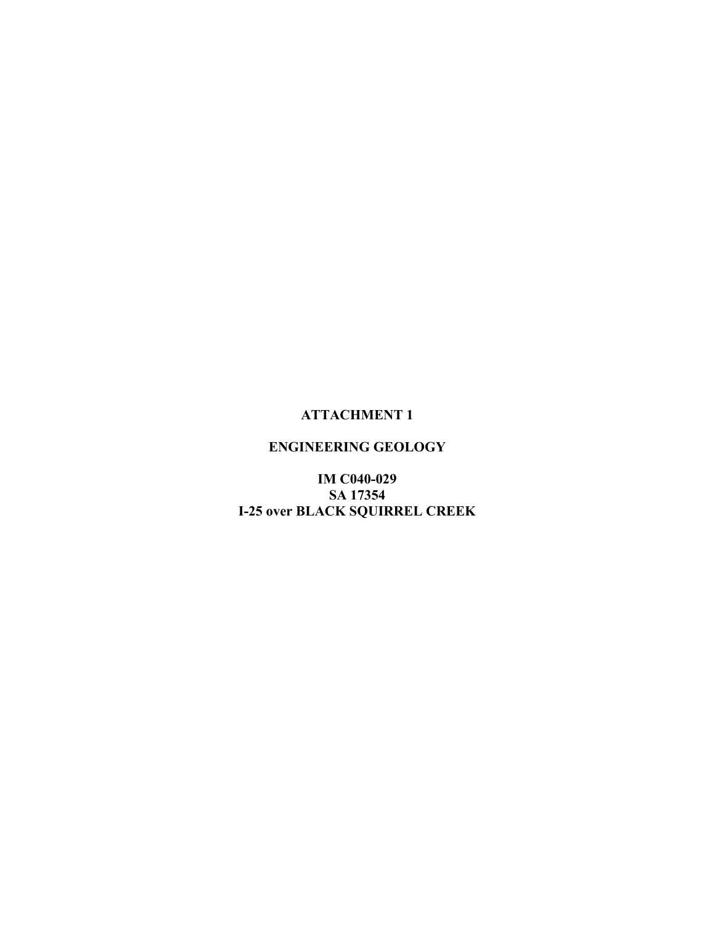### **ATTACHMENT 1**

## **ENGINEERING GEOLOGY**

**IM C040-029** SA 17354 **I-25 over BLACK SQUIRREL CREEK**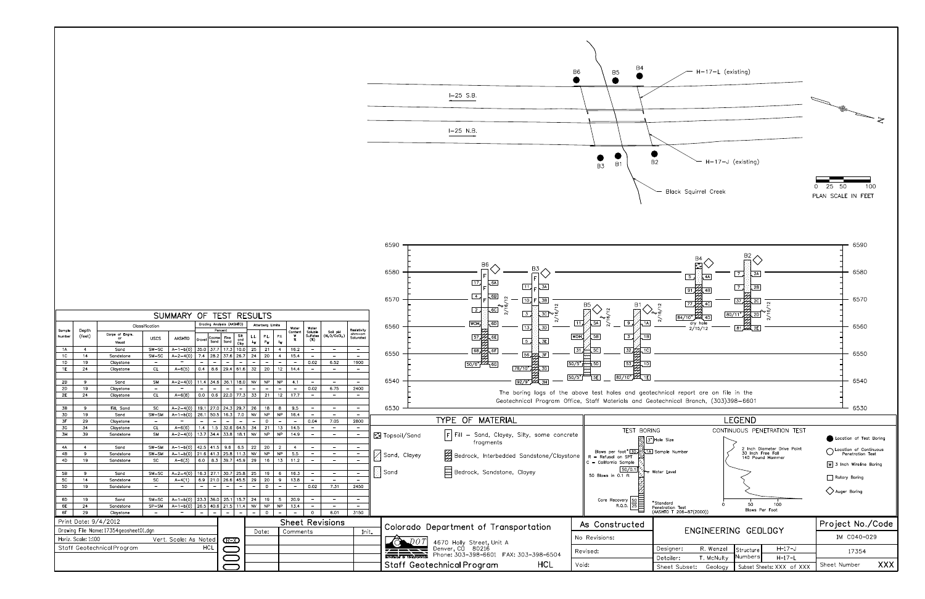

|                      |                      |                                          |                                       |                                            |             |                           |                          |                     |              |                  |                                 |                          |                                  |                                                      |                                                      | ---                   |                                                                                        |                                                               |                                                                                         |
|----------------------|----------------------|------------------------------------------|---------------------------------------|--------------------------------------------|-------------|---------------------------|--------------------------|---------------------|--------------|------------------|---------------------------------|--------------------------|----------------------------------|------------------------------------------------------|------------------------------------------------------|-----------------------|----------------------------------------------------------------------------------------|---------------------------------------------------------------|-----------------------------------------------------------------------------------------|
|                      |                      |                                          |                                       |                                            |             |                           |                          |                     |              |                  |                                 |                          |                                  |                                                      |                                                      | 6580                  | $\overline{17}$<br>, 6A                                                                |                                                               |                                                                                         |
|                      |                      |                                          |                                       |                                            |             |                           |                          |                     |              |                  |                                 |                          |                                  |                                                      |                                                      | 6570                  | 11<br>3A<br>$\overline{4}$<br>, 6B  <br>10.<br>3B<br>$\sqrt{2}$<br>$\overline{c}$      | B5                                                            |                                                                                         |
|                      |                      |                                          |                                       | SUMMARY OF TEST RESULTS                    |             |                           |                          |                     |              |                  |                                 |                          |                                  |                                                      |                                                      |                       | $\overline{3}$ .<br><u> 3cle 등</u>                                                     |                                                               | 84                                                                                      |
|                      |                      |                                          | Classification                        |                                            |             | Grading Analysis (AASHTO) |                          |                     |              | Atterberg Limits |                                 |                          |                                  |                                                      |                                                      | 6560                  | WOH.<br>, 6D<br>$\sqrt{13}$<br>3D                                                      | 11.<br>5A<br>$\sqrt{9}$                                       |                                                                                         |
| Sample               | Depth                | Corps of Engrs.                          |                                       |                                            |             | Percent                   |                          |                     |              |                  |                                 | Water<br>Content         | Water<br>Soluble                 | Soil pH                                              | Resistivity<br>ohm-cm                                |                       |                                                                                        |                                                               |                                                                                         |
| Number               | (feet)               | or<br>Visual                             | <b>USCS</b>                           | AASHTO                                     | Grovel      | Coarse<br>Sand            | Fine<br>Sand             | Silt<br>and<br>Clay | LL.<br>$L_W$ | P.L.<br>$P_W$    | P.I.<br>$\mathsf{I}_\mathsf{W}$ | w<br>$\boldsymbol{\%}$   | Sulfates<br>( %)                 | $(H_2O/CcCl_2)$                                      | Saturated                                            |                       | $rac{57}{1}$<br>4 бЕ]<br>$\sqrt{5}$<br>$\overline{\mathsf{3E}}$                        | WOH,<br>$\boxed{3}$<br>5B<br>1B                               |                                                                                         |
| 1A                   | $\overline{4}$       | Sand                                     | $SW-SC$                               | $A-1-b(0)$                                 | 35.0        | 37.7                      | 17.3                     | 10.0                | 25           | 21               | 4                               | 16.2                     | $-$                              | $\qquad \qquad -$                                    | $ \,$                                                | 6550                  | $\overline{\text{68}}$                                                                 | $\frac{32}{2}$<br>31<br>5 <sub>C</sub><br>.1 <sub>C</sub>     |                                                                                         |
| 1 <sup>C</sup>       | 14                   | Sandstone                                | $SM-SC$                               | $A - 2 - 4(0)$<br>$\overline{\phantom{a}}$ | 7.4         | 28.2                      | $37.6$ 26.7              |                     | 24           | 20               | 4                               | 15.4                     |                                  | $\qquad \qquad -$                                    | $-$                                                  |                       | 56 22 JF                                                                               |                                                               |                                                                                         |
| 1D<br>1E             | 19<br>24             | Claystone<br>Claystone                   | $\overline{\phantom{a}}$<br><b>CL</b> | $A - 6(5)$                                 | 0.4         | 8.6                       | $29.4$ 61.6              |                     | 32           | 20               | 12                              | $-$<br>14.4              | 0.02<br>$-$                      | 6.52<br>$\overline{\phantom{m}}$                     | 1900<br>$\overline{\phantom{m}}$                     |                       | $\frac{50}{6}$ $\frac{1}{4}$ 6G<br>78/10"<br>3G                                        | 50/5"<br>532,10<br>15D                                        |                                                                                         |
|                      |                      |                                          |                                       |                                            |             |                           |                          |                     |              |                  |                                 |                          |                                  |                                                      |                                                      |                       |                                                                                        |                                                               |                                                                                         |
| 2B                   | 9                    | Sand                                     | <b>SM</b>                             | $A - 2 - 4(0)$                             | 11.4        | 34.6                      | 36.1                     | 18.0                | <b>NV</b>    | NP               | <b>NP</b>                       | 4.1                      |                                  | $\sim$                                               | $-$                                                  | 6540                  | 92/9" $\cancel{\pm 2}$                                                                 | $82/10"$ $24$ , $1E$<br>50/5"<br> 5E                          |                                                                                         |
| <b>2D</b>            | 19                   | Claystone                                | $\overline{\phantom{a}}$              |                                            |             |                           |                          |                     |              |                  |                                 |                          | 0.02                             | 6.75                                                 | 2400                                                 |                       |                                                                                        |                                                               |                                                                                         |
| 2E                   | 24                   | Claystone                                | <b>CL</b>                             | $A - 6(8)$                                 | 0.0         | 0.6                       | 22.0 77.3                |                     | 33           | 21               | 12 <sub>2</sub>                 | 17.7                     | $\overline{\phantom{a}}$         | $\equiv$                                             | $\overline{\phantom{a}}$                             |                       |                                                                                        | The boring logs of the above test holes and geotechnical re   |                                                                                         |
|                      |                      |                                          |                                       |                                            |             |                           |                          |                     |              |                  |                                 |                          |                                  |                                                      |                                                      |                       |                                                                                        | Geotechnical Program Office, Staff Materials and Geotechnical |                                                                                         |
| 3B                   | 9                    | Fill, Sand                               | <b>SC</b>                             | $A - 2 - 4(0)$                             | 19.1        | 27.0 24.3 29.7            |                          |                     | 26           | 18               | 8                               | 9.5                      |                                  | $\overline{\phantom{a}}$                             | $\overline{\phantom{a}}$                             | 6530                  |                                                                                        |                                                               |                                                                                         |
| 3D<br>3F             | 19<br>29             | Sand                                     | $SW-SM$<br>$\overline{\phantom{a}}$   | $A-1-b(0)$<br>$\overline{\phantom{a}}$     | 26.1        | 50.5                      | 16.3                     | 7.0                 | <b>NV</b>    | NP               | NP                              | 16.4                     | $\overline{\phantom{a}}$<br>0.04 | $\overline{\phantom{a}}$<br>7.05                     | $\overline{\phantom{a}}$                             |                       | <b>MATERIAL</b><br><b>TYPE</b><br>OF                                                   |                                                               |                                                                                         |
| 3G                   | 34                   | Claystone<br>Claystone                   | CL                                    | $A - 6(6)$                                 | 1.4         | 1.5                       | 32.6 64.5                |                     | 34           | $\circ$<br>21    | $\overline{13}$                 | 14.5                     | $\sim$                           | $\overline{\phantom{a}}$                             | 2800<br>$\equiv$                                     |                       |                                                                                        |                                                               |                                                                                         |
| 3H                   | 39                   | Sandstone                                | <b>SM</b>                             | $A - 2 - 4(0)$                             | 13.7        | 34.4                      | 33.8                     | 18.1                | <b>NV</b>    | <b>NP</b>        | NP                              | 14.9                     |                                  | $\overline{\phantom{a}}$                             | $\overline{\phantom{a}}$                             | <b>M</b> Topsoil/Sand | $\left  \Gamma \right $ Fill - Sand, Clayey, Silty, some concrete                      | TEST BORING                                                   |                                                                                         |
|                      |                      |                                          |                                       |                                            |             |                           |                          |                     |              |                  |                                 |                          |                                  |                                                      |                                                      |                       | fragments                                                                              |                                                               | $\begin{bmatrix} 0 \\ 0 \end{bmatrix}$ $\begin{bmatrix} 3 \\ 3 \end{bmatrix}$ Hole Size |
| 4A                   | $\overline{4}$       | Sand                                     | $SW-SM$                               | $A - 1 - b(0)$                             |             | $42.5$   41.5             | 9.6                      | 6.5                 | 22           | 20               | $\overline{2}$                  | $\overline{4}$           |                                  | $\overline{\phantom{a}}$                             | $\overline{\phantom{a}}$                             |                       |                                                                                        |                                                               |                                                                                         |
| 4B                   | 9                    | Sandstone                                | $SW-SM$                               | $A - 1 - b(0)$                             | 21.6        | 41.3 25.8                 |                          | 11.3                | <b>NV</b>    | <b>NP</b>        | NP                              | 5.5                      | $\equiv$                         | $\overline{\phantom{m}}$                             | $\overline{\phantom{a}}$                             | Sand, Clayey          | Bedrock, Interbedded Sandstone/Claystone                                               | Blows per foot* 30, 4.1A Sample Numi<br>$R = Refusal on$ SPT  |                                                                                         |
| 4D                   | 19                   | Sandstone                                | <b>SC</b>                             | $A - 6(3)$                                 | 6.0         | 8.3 39.7 45.9             |                          |                     | 29           | 16               | 13                              | 11.2                     | $-$                              | $-$                                                  | Ξ                                                    |                       |                                                                                        | $C =$ California Sample                                       |                                                                                         |
|                      |                      |                                          |                                       |                                            |             |                           |                          |                     |              |                  |                                 |                          |                                  |                                                      |                                                      | $\boxdot$ Sand        | Bedrock, Sandstone, Clayey                                                             | 50/0.1                                                        | Water Level                                                                             |
| 5B<br>5 <sub>C</sub> | 9<br>14              | Sand<br>Sandstone                        | $SM-SC$<br>SC                         | $A - 2 - 4(0)$<br>$A - 4(1)$               | 16.3<br>6.9 | 27.1<br>21.0 26.6 45.5    | $30.7$ 25.8              |                     | 25<br>29     | 19<br>20         | 6<br>9                          | 16.3<br>13.8             | $\sim$                           | $\overline{\phantom{a}}$<br>$\overline{\phantom{a}}$ | $\overline{\phantom{a}}$<br>$\overline{\phantom{a}}$ |                       |                                                                                        | 50 Blows in 0.1 ft                                            |                                                                                         |
| 5D                   | 19                   | Sandstone                                | $\overline{\phantom{a}}$              | $\overline{\phantom{a}}$                   |             |                           |                          |                     |              | $\mathsf{o}$     |                                 | $\overline{\phantom{a}}$ | 0.02                             | 7.31                                                 | 2450                                                 |                       |                                                                                        |                                                               |                                                                                         |
|                      |                      |                                          |                                       |                                            |             |                           |                          |                     |              |                  |                                 |                          |                                  |                                                      |                                                      |                       |                                                                                        |                                                               |                                                                                         |
| 6D                   | 19                   | Sand                                     | $SM-SC$                               | $A - 1 - b(0)$                             | 23.3        | 36.0                      | 25.1                     | 15.7                | 24           | 19               | 5                               | 20.9                     |                                  | $\overline{\phantom{a}}$                             | $\overline{\phantom{a}}$                             |                       |                                                                                        |                                                               |                                                                                         |
| 6E                   | 24                   | Sandstone                                | $SP-SM$                               | $A - 1 - b(0)$                             | 26.5        | $140.6$ 21.5 11.4         |                          |                     | <b>NV</b>    | <b>NP</b>        | NP                              | 13.4                     | $\overline{\phantom{a}}$         | $\overline{\phantom{m}}$                             | $\overline{\phantom{m}}$                             |                       |                                                                                        | Core Recovery $\frac{50}{25}$                                 | *Standard<br>Penetration Te<br>(AASHTO T 20)                                            |
| 6F                   | 29                   | Claystone                                | $\sim$                                |                                            |             |                           | $\overline{\phantom{a}}$ |                     |              | 0                |                                 | $\overline{\phantom{a}}$ | $\circ$                          | 6.01                                                 | 3150                                                 |                       |                                                                                        |                                                               |                                                                                         |
|                      | Print Date: 9/4/2012 |                                          |                                       |                                            |             |                           |                          |                     |              |                  |                                 |                          |                                  | <b>Sheet Revisions</b>                               |                                                      |                       | Colorado Department of Transportation                                                  | As Constructed                                                |                                                                                         |
|                      |                      | Drawing File Name: 17354 geosheet 01.dgn |                                       |                                            |             |                           |                          |                     |              | Date:            |                                 | Comments                 |                                  |                                                      | Init.                                                |                       |                                                                                        |                                                               |                                                                                         |
|                      | Horiz. Scale: 1:100  |                                          |                                       | Vert. Scale: As Noted                      |             |                           | $\times$                 |                     |              |                  |                                 |                          |                                  |                                                      |                                                      |                       |                                                                                        | No Revisions:                                                 |                                                                                         |
|                      |                      | Staff Geotechnical Program               |                                       |                                            |             | <b>HCL</b>                |                          |                     |              |                  |                                 |                          |                                  |                                                      |                                                      |                       | 4670 Holly Street, Unit A<br>Denver, CQ 80216<br>Phone: 303-398-6601 FAX: 303-398-6504 | Revised:                                                      | Designer:                                                                               |
|                      |                      |                                          |                                       |                                            |             |                           |                          |                     |              |                  |                                 |                          |                                  |                                                      |                                                      |                       |                                                                                        |                                                               | Detailer:                                                                               |
|                      |                      |                                          |                                       |                                            |             |                           |                          |                     |              |                  |                                 |                          |                                  |                                                      |                                                      |                       | <b>HCL</b><br>Staff Geotechnical Program                                               | Void:                                                         | Sheet Su                                                                                |
|                      |                      |                                          |                                       |                                            |             |                           |                          |                     |              |                  |                                 |                          |                                  |                                                      |                                                      |                       |                                                                                        |                                                               |                                                                                         |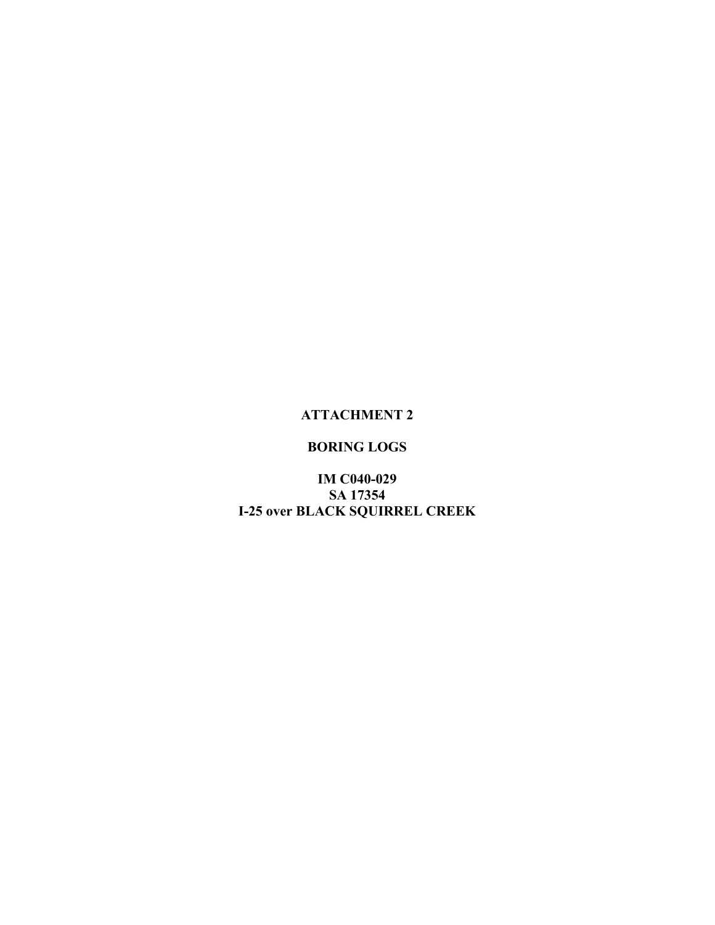### **ATTACHMENT 2**

## **BORING LOGS**

**IM C040-029** SA 17354 **I-25 over BLACK SQUIRREL CREEK**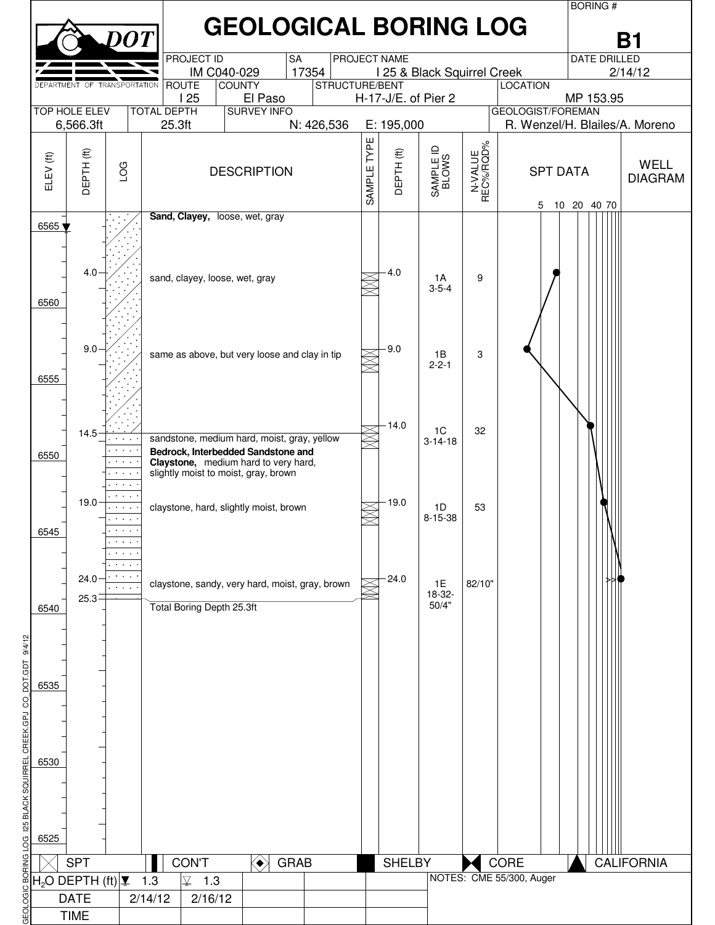|                                                                                         |                                                                                                                                       |           |                   |  |                                                                                                                                                                   |                    |           |                                                 |             |                   |                     |                      |                                | <b>BORING#</b>      |                               |
|-----------------------------------------------------------------------------------------|---------------------------------------------------------------------------------------------------------------------------------------|-----------|-------------------|--|-------------------------------------------------------------------------------------------------------------------------------------------------------------------|--------------------|-----------|-------------------------------------------------|-------------|-------------------|---------------------|----------------------|--------------------------------|---------------------|-------------------------------|
|                                                                                         |                                                                                                                                       |           | DOT               |  |                                                                                                                                                                   |                    |           | <b>GEOLOGICAL BORING LOG</b>                    |             |                   |                     |                      |                                |                     | В1                            |
|                                                                                         |                                                                                                                                       |           |                   |  | <b>PROJECT ID</b><br>IM C040-029                                                                                                                                  |                    | <b>SA</b> | 17354                                           |             | PROJECT NAME      |                     |                      |                                | <b>DATE DRILLED</b> | 2/14/12                       |
|                                                                                         | I 25 & Black Squirrel Creek<br>DEPARTMENT OF TRANSPORTATION<br><b>ROUTE</b><br><b>COUNTY</b><br>STRUCTURE/BENT<br><b>LOCATION</b>     |           |                   |  |                                                                                                                                                                   |                    |           |                                                 |             |                   |                     |                      |                                |                     |                               |
|                                                                                         | 125<br>El Paso<br>H-17-J/E. of Pier 2<br><b>TOP HOLE ELEV</b><br><b>SURVEY INFO</b><br><b>GEOLOGIST/FOREMAN</b><br><b>TOTAL DEPTH</b> |           |                   |  |                                                                                                                                                                   |                    |           |                                                 |             |                   |                     |                      |                                | MP 153.95           |                               |
| 25.3ft<br>6,566.3ft<br>N: 426,536                                                       |                                                                                                                                       |           |                   |  |                                                                                                                                                                   |                    |           |                                                 |             | E: 195,000        |                     |                      | R. Wenzel/H. Blailes/A. Moreno |                     |                               |
|                                                                                         |                                                                                                                                       |           |                   |  |                                                                                                                                                                   |                    |           |                                                 |             |                   |                     |                      |                                |                     |                               |
| ELEV <sup>(ft)</sup>                                                                    | <b>DEPTH (ft)</b>                                                                                                                     | LOG       |                   |  |                                                                                                                                                                   | <b>DESCRIPTION</b> |           |                                                 | SAMPLE TYPE | <b>DEPTH (ft)</b> | SAMPLE ID<br>BLOWS  | N-VALUE<br>REC%/RQD% | <b>SPT DATA</b>                |                     | <b>WELL</b><br><b>DIAGRAM</b> |
|                                                                                         |                                                                                                                                       |           |                   |  |                                                                                                                                                                   |                    |           |                                                 |             |                   |                     | $\square$            | 5                              | 10 20 40 70         |                               |
| 6565<br>6560                                                                            | 4.0                                                                                                                                   |           |                   |  | Sand, Clayey, loose, wet, gray<br>sand, clayey, loose, wet, gray                                                                                                  |                    |           |                                                 |             | 4.0               | 1A<br>$3 - 5 - 4$   | 9                    |                                |                     |                               |
| 6555                                                                                    | 9.0                                                                                                                                   |           |                   |  | same as above, but very loose and clay in tip                                                                                                                     |                    |           |                                                 |             | 9.0               | 1B<br>$2 - 2 - 1$   | 3                    |                                |                     |                               |
| 6550                                                                                    | 14.5                                                                                                                                  | $\bullet$ | $\sim$ $\sim$     |  | sandstone, medium hard, moist, gray, yellow<br>Bedrock, Interbedded Sandstone and<br>Claystone, medium hard to very hard,<br>slightly moist to moist, gray, brown |                    |           |                                                 |             | 14.0              | 1C<br>$3 - 14 - 18$ | 32                   |                                |                     |                               |
| 6545                                                                                    | 19.0                                                                                                                                  |           | $\sim$ 100 $\sim$ |  | claystone, hard, slightly moist, brown                                                                                                                            |                    |           |                                                 |             | 19.0              | 1D<br>$8 - 15 - 38$ | 53                   |                                |                     |                               |
|                                                                                         |                                                                                                                                       | $\cdots$  |                   |  |                                                                                                                                                                   |                    |           |                                                 |             |                   |                     |                      |                                |                     |                               |
|                                                                                         | 24.0                                                                                                                                  |           |                   |  |                                                                                                                                                                   |                    |           | claystone, sandy, very hard, moist, gray, brown |             | 24.0              | 1E                  | 82/10"               |                                |                     |                               |
|                                                                                         | $25.3 -$                                                                                                                              |           |                   |  | Total Boring Depth 25.3ft                                                                                                                                         |                    |           |                                                 |             |                   | 18-32-<br>50/4"     |                      |                                |                     |                               |
| 6540                                                                                    |                                                                                                                                       |           |                   |  |                                                                                                                                                                   |                    |           |                                                 |             |                   |                     |                      |                                |                     |                               |
|                                                                                         |                                                                                                                                       |           |                   |  |                                                                                                                                                                   |                    |           |                                                 |             |                   |                     |                      |                                |                     |                               |
| 9/4/12                                                                                  |                                                                                                                                       |           |                   |  |                                                                                                                                                                   |                    |           |                                                 |             |                   |                     |                      |                                |                     |                               |
| 1dp.<br>6535                                                                            |                                                                                                                                       |           |                   |  |                                                                                                                                                                   |                    |           |                                                 |             |                   |                     |                      |                                |                     |                               |
| ōq<br>ပ္ပ                                                                               |                                                                                                                                       |           |                   |  |                                                                                                                                                                   |                    |           |                                                 |             |                   |                     |                      |                                |                     |                               |
|                                                                                         |                                                                                                                                       |           |                   |  |                                                                                                                                                                   |                    |           |                                                 |             |                   |                     |                      |                                |                     |                               |
|                                                                                         |                                                                                                                                       |           |                   |  |                                                                                                                                                                   |                    |           |                                                 |             |                   |                     |                      |                                |                     |                               |
| 6530                                                                                    |                                                                                                                                       |           |                   |  |                                                                                                                                                                   |                    |           |                                                 |             |                   |                     |                      |                                |                     |                               |
| <b>25 BLACK SQUIRREL CREEK.GPJ</b>                                                      |                                                                                                                                       |           |                   |  |                                                                                                                                                                   |                    |           |                                                 |             |                   |                     |                      |                                |                     |                               |
|                                                                                         |                                                                                                                                       |           |                   |  |                                                                                                                                                                   |                    |           |                                                 |             |                   |                     |                      |                                |                     |                               |
|                                                                                         |                                                                                                                                       |           |                   |  |                                                                                                                                                                   |                    |           |                                                 |             |                   |                     |                      |                                |                     |                               |
| 6525<br>g                                                                               |                                                                                                                                       |           |                   |  |                                                                                                                                                                   |                    |           |                                                 |             |                   |                     |                      |                                |                     |                               |
| <b>SPT</b><br><b>CON'T</b><br><b>GRAB</b><br>$\langle \bullet \rangle$<br><b>SHELBY</b> |                                                                                                                                       |           |                   |  |                                                                                                                                                                   |                    |           |                                                 |             |                   |                     | CORE                 |                                | <b>CALIFORNIA</b>   |                               |
|                                                                                         | $ H_2O$ DEPTH (ft) $\vert \mathbf{I} \vert$ 1.3                                                                                       |           |                   |  | $\overline{\underline{\nabla}}$<br>1.3                                                                                                                            |                    |           |                                                 |             |                   |                     |                      | NOTES: CME 55/300, Auger       |                     |                               |
| OGIC<br><b>DATE</b><br>2/14/12<br>2/16/12                                               |                                                                                                                                       |           |                   |  |                                                                                                                                                                   |                    |           |                                                 |             |                   |                     |                      |                                |                     |                               |
| GEOL<br>                                                                                | <b>TIME</b>                                                                                                                           |           |                   |  |                                                                                                                                                                   |                    |           |                                                 |             |                   |                     |                      |                                |                     |                               |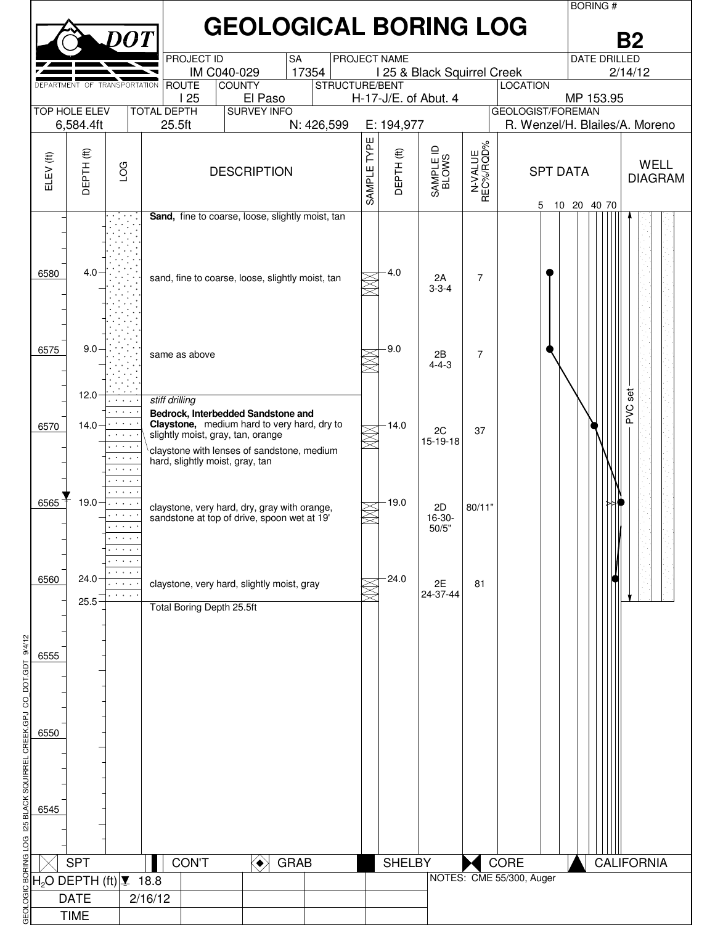|                                                                            |                                                                                                                                                                                               |                                                                                           |                                                                      |                                                                                                                                 |                |             |               |                                   |                                   |                                                            | <b>BORING#</b> |                               |  |  |
|----------------------------------------------------------------------------|-----------------------------------------------------------------------------------------------------------------------------------------------------------------------------------------------|-------------------------------------------------------------------------------------------|----------------------------------------------------------------------|---------------------------------------------------------------------------------------------------------------------------------|----------------|-------------|---------------|-----------------------------------|-----------------------------------|------------------------------------------------------------|----------------|-------------------------------|--|--|
|                                                                            | <b>GEOLOGICAL BORING LOG</b><br>$\overline{D}OT$<br><b>B2</b><br><b>PROJECT ID</b><br>PROJECT NAME<br><b>DATE DRILLED</b><br><b>SA</b><br>17354<br>IM C040-029<br>I 25 & Black Squirrel Creek |                                                                                           |                                                                      |                                                                                                                                 |                |             |               |                                   |                                   |                                                            |                |                               |  |  |
|                                                                            |                                                                                                                                                                                               |                                                                                           |                                                                      |                                                                                                                                 |                |             |               |                                   |                                   |                                                            |                | 2/14/12                       |  |  |
|                                                                            | DEPARTMENT OF TRANSPORTATION                                                                                                                                                                  |                                                                                           | <b>ROUTE</b>                                                         | <b>COUNTY</b>                                                                                                                   | STRUCTURE/BENT |             |               |                                   |                                   | <b>LOCATION</b>                                            |                |                               |  |  |
|                                                                            |                                                                                                                                                                                               |                                                                                           | 125                                                                  | El Paso                                                                                                                         |                |             |               | H-17-J/E. of Abut. 4              |                                   |                                                            | MP 153.95      |                               |  |  |
|                                                                            | <b>TOP HOLE ELEV</b><br>6,584.4ft                                                                                                                                                             |                                                                                           | <b>TOTAL DEPTH</b><br>25.5ft                                         | <b>SURVEY INFO</b>                                                                                                              | N: 426,599     |             | E: 194,977    |                                   |                                   | <b>GEOLOGIST/FOREMAN</b><br>R. Wenzel/H. Blailes/A. Moreno |                |                               |  |  |
|                                                                            |                                                                                                                                                                                               |                                                                                           |                                                                      |                                                                                                                                 |                |             |               |                                   |                                   |                                                            |                |                               |  |  |
| ELEV (ft)                                                                  | $\widehat{\mathfrak{t}}$<br>DEPTH                                                                                                                                                             | LOG                                                                                       |                                                                      | <b>DESCRIPTION</b>                                                                                                              |                | SAMPLE TYPE | DEPTH(ft)     | $\supseteq$<br>SAMPLE II<br>BLOWS | N-VALUE<br>REC%/RQD%<br>$\square$ | <b>SPT DATA</b><br>5                                       | 10 20 40 70    | <b>WELL</b><br><b>DIAGRAM</b> |  |  |
| 6580                                                                       | 4.0                                                                                                                                                                                           |                                                                                           |                                                                      | Sand, fine to coarse, loose, slightly moist, tan<br>sand, fine to coarse, loose, slightly moist, tan                            |                |             | 4.0           | 2A                                | 7                                 |                                                            |                |                               |  |  |
| 6575                                                                       | 9.0                                                                                                                                                                                           |                                                                                           |                                                                      |                                                                                                                                 |                |             | 9.0           | $3 - 3 - 4$                       |                                   |                                                            |                |                               |  |  |
|                                                                            | 12.0                                                                                                                                                                                          |                                                                                           | same as above<br>stiff drilling                                      |                                                                                                                                 |                |             |               | 2B<br>$4 - 4 - 3$                 | $\overline{7}$                    |                                                            |                | set                           |  |  |
| 6570                                                                       | 14.0                                                                                                                                                                                          | $\mathcal{A}=\mathcal{A}=\mathcal{A}$ .<br><b>Contract</b>                                | slightly moist, gray, tan, orange<br>hard, slightly moist, gray, tan | Bedrock, Interbedded Sandstone and<br>Claystone, medium hard to very hard, dry to<br>claystone with lenses of sandstone, medium |                |             | $-14.0$       | 2C<br>15-19-18                    | 37                                |                                                            |                | Ö<br>A                        |  |  |
| 6565                                                                       | 19.0                                                                                                                                                                                          | $\cdots$<br>$\sim$ $\sim$ $\sim$<br>$\sigma$ , $\sigma$ , $\sigma$ , $\sigma$<br>$\cdots$ |                                                                      | claystone, very hard, dry, gray with orange,<br>sandstone at top of drive, spoon wet at 19'                                     |                |             | 19.0          | 2D<br>16-30-<br>50/5"             | 80/11"                            |                                                            |                |                               |  |  |
| 6560                                                                       | 24.0<br>25.5                                                                                                                                                                                  | $\sim$ $\sim$                                                                             | <b>Total Boring Depth 25.5ft</b>                                     | claystone, very hard, slightly moist, gray                                                                                      |                |             | 24.0          | 2E<br>24-37-44                    | 81                                |                                                            |                |                               |  |  |
| 6555                                                                       |                                                                                                                                                                                               |                                                                                           |                                                                      |                                                                                                                                 |                |             |               |                                   |                                   |                                                            |                |                               |  |  |
| 6550                                                                       |                                                                                                                                                                                               |                                                                                           |                                                                      |                                                                                                                                 |                |             |               |                                   |                                   |                                                            |                |                               |  |  |
| GEOLOGIC BORING LOG 125 BLACK SQUIRREL CREEK.GPJ CO_DOT.GDT 9/4/12<br>6545 |                                                                                                                                                                                               |                                                                                           |                                                                      |                                                                                                                                 |                |             |               |                                   |                                   |                                                            |                |                               |  |  |
|                                                                            |                                                                                                                                                                                               |                                                                                           |                                                                      |                                                                                                                                 |                |             |               |                                   |                                   |                                                            |                |                               |  |  |
|                                                                            |                                                                                                                                                                                               |                                                                                           |                                                                      |                                                                                                                                 |                |             |               |                                   |                                   |                                                            |                |                               |  |  |
|                                                                            | <b>SPT</b>                                                                                                                                                                                    |                                                                                           | <b>CONT</b>                                                          | $\langle \bullet \rangle$<br><b>GRAB</b>                                                                                        |                |             | <b>SHELBY</b> |                                   |                                   | CORE<br>NOTES: CME 55/300, Auger                           |                | <b>CALIFORNIA</b>             |  |  |
|                                                                            | $H2$ O DEPTH (ft) $\vert \mathbf{I} \vert$ 18.8                                                                                                                                               |                                                                                           |                                                                      |                                                                                                                                 |                |             |               |                                   |                                   |                                                            |                |                               |  |  |
|                                                                            | <b>DATE</b><br><b>TIME</b>                                                                                                                                                                    | 2/16/12                                                                                   |                                                                      |                                                                                                                                 |                |             |               |                                   |                                   |                                                            |                |                               |  |  |
|                                                                            |                                                                                                                                                                                               |                                                                                           |                                                                      |                                                                                                                                 |                |             |               |                                   |                                   |                                                            |                |                               |  |  |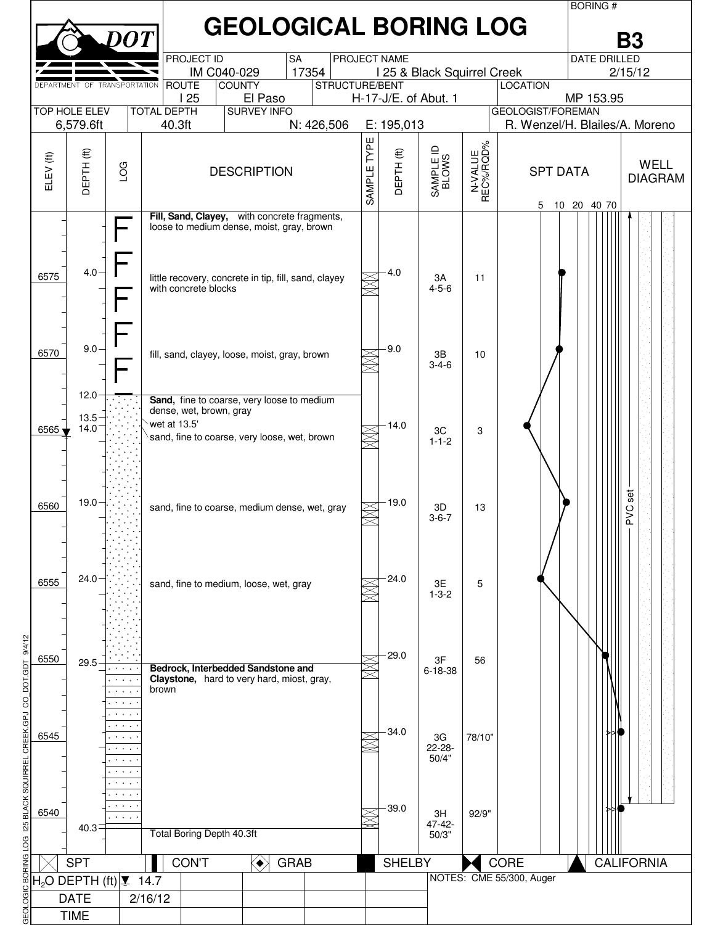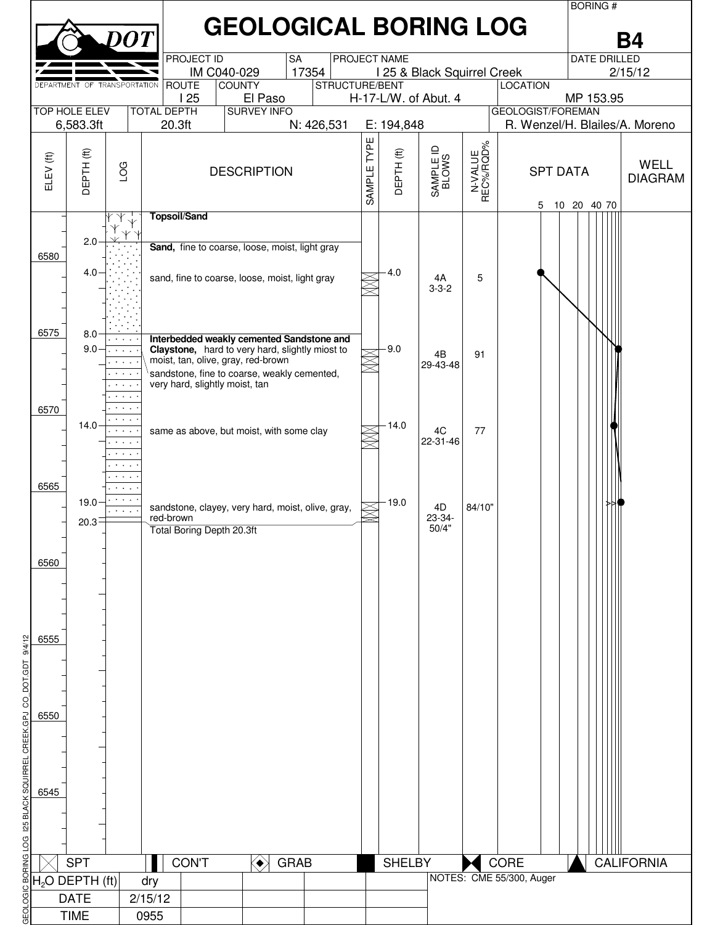|                                                                                                                                                     |                              |                                                                                                                         |                     |                                    |                                                                                                                                             |                |                |                   |                             |                                  |                                | <b>BORING#</b>      |                               |
|-----------------------------------------------------------------------------------------------------------------------------------------------------|------------------------------|-------------------------------------------------------------------------------------------------------------------------|---------------------|------------------------------------|---------------------------------------------------------------------------------------------------------------------------------------------|----------------|----------------|-------------------|-----------------------------|----------------------------------|--------------------------------|---------------------|-------------------------------|
|                                                                                                                                                     |                              | DO T                                                                                                                    |                     |                                    | <b>GEOLOGICAL BORING LOG</b>                                                                                                                |                |                |                   |                             |                                  |                                |                     | Β4                            |
|                                                                                                                                                     |                              |                                                                                                                         |                     | <b>PROJECT ID</b><br>IM C040-029   | <b>SA</b>                                                                                                                                   | 17354          |                | PROJECT NAME      | I 25 & Black Squirrel Creek |                                  |                                | <b>DATE DRILLED</b> | 2/15/12                       |
|                                                                                                                                                     | DEPARTMENT OF TRANSPORTATION |                                                                                                                         |                     | <b>ROUTE</b><br><b>COUNTY</b>      |                                                                                                                                             | STRUCTURE/BENT |                |                   |                             |                                  | <b>LOCATION</b>                |                     |                               |
| 125<br>El Paso<br>H-17-L/W. of Abut. 4<br>MP 153.95<br><b>TOP HOLE ELEV</b><br><b>SURVEY INFO</b><br><b>TOTAL DEPTH</b><br><b>GEOLOGIST/FOREMAN</b> |                              |                                                                                                                         |                     |                                    |                                                                                                                                             |                |                |                   |                             |                                  |                                |                     |                               |
|                                                                                                                                                     | 6,583.3ft                    |                                                                                                                         | 20.3ft              |                                    | N: 426,531                                                                                                                                  |                | E: 194,848     |                   |                             |                                  | R. Wenzel/H. Blailes/A. Moreno |                     |                               |
|                                                                                                                                                     |                              |                                                                                                                         |                     |                                    |                                                                                                                                             |                |                |                   |                             |                                  |                                |                     |                               |
| ELEV (ft)                                                                                                                                           | ОЕРТН (ft)                   | LOG                                                                                                                     |                     |                                    | <b>DESCRIPTION</b>                                                                                                                          |                | TYPE<br>SAMPLE | <b>DEPTH (ft)</b> | SAMPLE ID<br>BLOWS          | N-VALUE<br>REC%/RQD%<br>$\alpha$ | <b>SPT DATA</b><br>5           | 10 20 40 70         | <b>WELL</b><br><b>DIAGRAM</b> |
|                                                                                                                                                     |                              |                                                                                                                         | <b>Topsoil/Sand</b> |                                    |                                                                                                                                             |                |                |                   |                             |                                  |                                |                     |                               |
| 6580                                                                                                                                                | 2.0                          |                                                                                                                         |                     |                                    | Sand, fine to coarse, loose, moist, light gray                                                                                              |                |                |                   |                             |                                  |                                |                     |                               |
|                                                                                                                                                     | 4.0                          |                                                                                                                         |                     |                                    | sand, fine to coarse, loose, moist, light gray                                                                                              |                |                | 4.0               | 4A<br>$3 - 3 - 2$           | 5                                |                                |                     |                               |
| 6575                                                                                                                                                | 8.0<br>9.0                   | $\mathcal{A}=\mathcal{A}=\mathcal{A}$ .<br>$\mathbf{A}=\mathbf{A}+\mathbf{A}$                                           |                     | moist, tan, olive, gray, red-brown | Interbedded weakly cemented Sandstone and<br>Claystone, hard to very hard, slightly miost to<br>sandstone, fine to coarse, weakly cemented, |                |                | $-9.0$            | 4B<br>29-43-48              | 91                               |                                |                     |                               |
| 6570                                                                                                                                                |                              |                                                                                                                         |                     | very hard, slightly moist, tan     |                                                                                                                                             |                |                |                   |                             |                                  |                                |                     |                               |
|                                                                                                                                                     | 14.0                         | $\sigma$ , $\sigma$ , $\sigma$ , $\sigma$<br>$\mathbf{r}=\mathbf{r}+\mathbf{r}$<br>$\mathbf{A}=\mathbf{A}+\mathbf{A}$ . |                     |                                    | same as above, but moist, with some clay                                                                                                    |                |                | 14.0              | 4C<br>22-31-46              | 77                               |                                |                     |                               |
| 6565                                                                                                                                                | 19.0                         | $\cdots$                                                                                                                |                     |                                    |                                                                                                                                             |                |                | 19.0              |                             |                                  |                                |                     |                               |
|                                                                                                                                                     | 20.3                         |                                                                                                                         | red-brown           |                                    | sandstone, clayey, very hard, moist, olive, gray,                                                                                           |                |                |                   | 4D<br>23-34-                | 84/10"                           |                                |                     |                               |
|                                                                                                                                                     |                              |                                                                                                                         |                     | Total Boring Depth 20.3ft          |                                                                                                                                             |                |                |                   | 50/4"                       |                                  |                                |                     |                               |
|                                                                                                                                                     |                              |                                                                                                                         |                     |                                    |                                                                                                                                             |                |                |                   |                             |                                  |                                |                     |                               |
| 6560                                                                                                                                                |                              |                                                                                                                         |                     |                                    |                                                                                                                                             |                |                |                   |                             |                                  |                                |                     |                               |
|                                                                                                                                                     |                              |                                                                                                                         |                     |                                    |                                                                                                                                             |                |                |                   |                             |                                  |                                |                     |                               |
|                                                                                                                                                     |                              |                                                                                                                         |                     |                                    |                                                                                                                                             |                |                |                   |                             |                                  |                                |                     |                               |
|                                                                                                                                                     |                              |                                                                                                                         |                     |                                    |                                                                                                                                             |                |                |                   |                             |                                  |                                |                     |                               |
| 9/4/12<br>6555                                                                                                                                      |                              |                                                                                                                         |                     |                                    |                                                                                                                                             |                |                |                   |                             |                                  |                                |                     |                               |
|                                                                                                                                                     |                              |                                                                                                                         |                     |                                    |                                                                                                                                             |                |                |                   |                             |                                  |                                |                     |                               |
| CO_DOT.GDT                                                                                                                                          |                              |                                                                                                                         |                     |                                    |                                                                                                                                             |                |                |                   |                             |                                  |                                |                     |                               |
|                                                                                                                                                     |                              |                                                                                                                         |                     |                                    |                                                                                                                                             |                |                |                   |                             |                                  |                                |                     |                               |
| 6550<br><b>CAD</b>                                                                                                                                  |                              |                                                                                                                         |                     |                                    |                                                                                                                                             |                |                |                   |                             |                                  |                                |                     |                               |
| QUIRREL CREEK                                                                                                                                       |                              |                                                                                                                         |                     |                                    |                                                                                                                                             |                |                |                   |                             |                                  |                                |                     |                               |
|                                                                                                                                                     |                              |                                                                                                                         |                     |                                    |                                                                                                                                             |                |                |                   |                             |                                  |                                |                     |                               |
|                                                                                                                                                     |                              |                                                                                                                         |                     |                                    |                                                                                                                                             |                |                |                   |                             |                                  |                                |                     |                               |
| 6545                                                                                                                                                |                              |                                                                                                                         |                     |                                    |                                                                                                                                             |                |                |                   |                             |                                  |                                |                     |                               |
|                                                                                                                                                     |                              |                                                                                                                         |                     |                                    |                                                                                                                                             |                |                |                   |                             |                                  |                                |                     |                               |
| LOG 125 BLACK                                                                                                                                       |                              |                                                                                                                         |                     |                                    |                                                                                                                                             |                |                |                   |                             |                                  |                                |                     |                               |
| g                                                                                                                                                   | <b>SPT</b>                   |                                                                                                                         |                     | <b>CON'T</b>                       | $\langle \bullet \rangle$<br><b>GRAB</b>                                                                                                    |                |                | <b>SHELBY</b>     |                             |                                  | CORE                           |                     | <b>CALIFORNIA</b>             |
|                                                                                                                                                     |                              |                                                                                                                         | dry                 |                                    |                                                                                                                                             |                |                |                   |                             |                                  | NOTES: CME 55/300, Auger       |                     |                               |
| $\frac{\frac{1}{20}}{\frac{1}{20}}\frac{H_2O}$ DEPTH (ft)<br>$\frac{1}{20}$ DATE                                                                    |                              |                                                                                                                         | 2/15/12             |                                    |                                                                                                                                             |                |                |                   |                             |                                  |                                |                     |                               |
| GEOL<br>                                                                                                                                            | <b>TIME</b>                  |                                                                                                                         | 0955                |                                    |                                                                                                                                             |                |                |                   |                             |                                  |                                |                     |                               |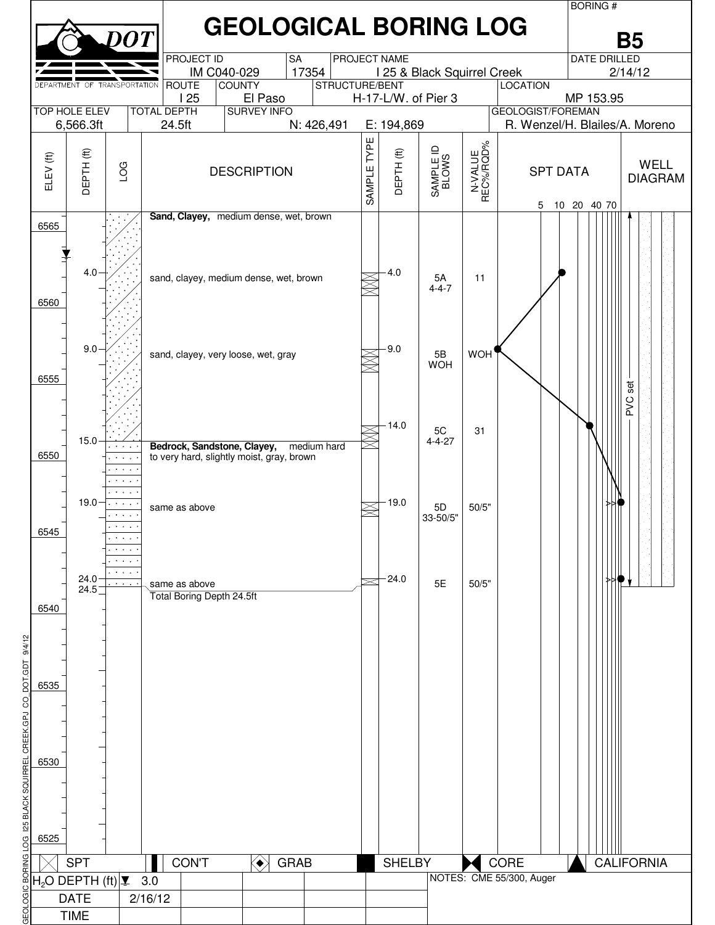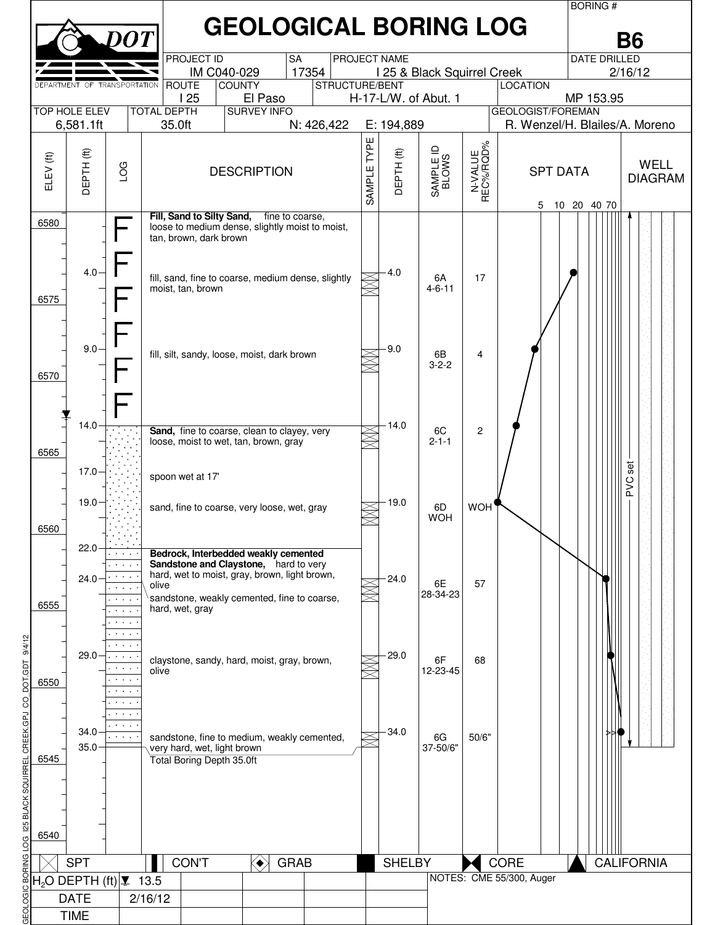|                                                   |                                                              |                                                                         |                              |                                  |                                                                                        |                         |            |              |                             |                      |                                  | <b>BORING#</b>      |                |  |
|---------------------------------------------------|--------------------------------------------------------------|-------------------------------------------------------------------------|------------------------------|----------------------------------|----------------------------------------------------------------------------------------|-------------------------|------------|--------------|-----------------------------|----------------------|----------------------------------|---------------------|----------------|--|
|                                                   |                                                              |                                                                         |                              |                                  | <b>GEOLOGICAL BORING LOG</b>                                                           |                         |            |              |                             |                      |                                  |                     | Β6             |  |
|                                                   |                                                              |                                                                         |                              | <b>PROJECT ID</b>                | <b>SA</b>                                                                              |                         |            | PROJECT NAME |                             |                      |                                  | <b>DATE DRILLED</b> |                |  |
|                                                   | DEPARTMENT OF TRANSPORTATION                                 |                                                                         |                              | IM C040-029<br><b>ROUTE</b>      | <b>COUNTY</b>                                                                          | 17354<br>STRUCTURE/BENT |            |              | I 25 & Black Squirrel Creek |                      | <b>LOCATION</b>                  | 2/16/12             |                |  |
|                                                   |                                                              |                                                                         |                              | 125                              | H-17-L/W. of Abut. 1                                                                   |                         |            | MP 153.95    |                             |                      |                                  |                     |                |  |
|                                                   | <b>TOP HOLE ELEV</b><br>6,581.1ft                            |                                                                         | <b>TOTAL DEPTH</b><br>35.0ft |                                  | <b>SURVEY INFO</b><br>N: 426,422                                                       |                         | E: 194,889 |              |                             | GEOLOGIST/FOREMAN    | R. Wenzel/H. Blailes/A. Moreno   |                     |                |  |
|                                                   |                                                              |                                                                         |                              |                                  |                                                                                        |                         |            |              |                             |                      |                                  |                     |                |  |
|                                                   | DEPTH (ft)                                                   |                                                                         |                              |                                  |                                                                                        |                         | TYPE       | DEPTH(ft)    | SAMPLE ID<br>BLOWS          | N-VALUE<br>REC%/RQD% |                                  |                     | <b>WELL</b>    |  |
| ELEV (ft)                                         |                                                              | LOG                                                                     |                              |                                  | <b>DESCRIPTION</b>                                                                     |                         | SAMPLE     |              |                             |                      | <b>SPT DATA</b>                  |                     | <b>DIAGRAM</b> |  |
|                                                   |                                                              |                                                                         |                              |                                  |                                                                                        |                         |            |              |                             | $\alpha$             | 5                                | 10 20 40 70         |                |  |
| 6580                                              |                                                              |                                                                         |                              | Fill, Sand to Silty Sand,        | fine to coarse,<br>loose to medium dense, slightly moist to moist,                     |                         |            |              |                             |                      |                                  |                     |                |  |
|                                                   |                                                              |                                                                         |                              | tan, brown, dark brown           |                                                                                        |                         |            |              |                             |                      |                                  |                     |                |  |
|                                                   | 4.0                                                          |                                                                         |                              |                                  |                                                                                        |                         |            | 4.0          |                             |                      |                                  |                     |                |  |
|                                                   |                                                              |                                                                         |                              | moist, tan, brown                | fill, sand, fine to coarse, medium dense, slightly                                     |                         |            |              | 6A<br>$4 - 6 - 11$          | 17                   |                                  |                     |                |  |
| 6575                                              |                                                              |                                                                         |                              |                                  |                                                                                        |                         |            |              |                             |                      |                                  |                     |                |  |
|                                                   |                                                              |                                                                         |                              |                                  |                                                                                        |                         |            |              |                             |                      |                                  |                     |                |  |
|                                                   | 9.0                                                          |                                                                         |                              |                                  |                                                                                        |                         |            | 9.0          |                             | 4                    |                                  |                     |                |  |
|                                                   |                                                              |                                                                         |                              |                                  | fill, silt, sandy, loose, moist, dark brown                                            |                         |            |              | 6B<br>$3 - 2 - 2$           |                      |                                  |                     |                |  |
| 6570                                              |                                                              |                                                                         |                              |                                  |                                                                                        |                         |            |              |                             |                      |                                  |                     |                |  |
|                                                   |                                                              |                                                                         |                              |                                  |                                                                                        |                         |            |              |                             |                      |                                  |                     |                |  |
|                                                   | 14.0                                                         |                                                                         |                              |                                  | Sand, fine to coarse, clean to clayey, very                                            |                         |            | 14.0         | 6C                          | 2                    |                                  |                     |                |  |
| 6565                                              |                                                              |                                                                         |                              |                                  | loose, moist to wet, tan, brown, gray                                                  |                         |            |              | $2 - 1 - 1$                 |                      |                                  |                     |                |  |
|                                                   | $17.0 \div$                                                  |                                                                         |                              |                                  |                                                                                        |                         |            |              |                             |                      |                                  |                     | set            |  |
|                                                   |                                                              |                                                                         |                              | spoon wet at 17'                 |                                                                                        |                         |            |              |                             |                      |                                  |                     | PVC            |  |
|                                                   | 19.0                                                         |                                                                         |                              |                                  | sand, fine to coarse, very loose, wet, gray                                            |                         |            | 19.0         | 6D                          | WOH'                 |                                  |                     |                |  |
| 6560                                              |                                                              |                                                                         |                              |                                  |                                                                                        |                         |            |              | <b>WOH</b>                  |                      |                                  |                     |                |  |
|                                                   | 22.0                                                         |                                                                         |                              |                                  | Bedrock, Interbedded weakly cemented                                                   |                         |            |              |                             |                      |                                  |                     |                |  |
|                                                   |                                                              |                                                                         |                              |                                  | Sandstone and Claystone, hard to very<br>hard, wet to moist, gray, brown, light brown, |                         |            |              |                             |                      |                                  |                     |                |  |
|                                                   | 24.0                                                         |                                                                         | olive                        |                                  |                                                                                        |                         |            | 24.0         | 6E<br>28-34-23              | 57                   |                                  |                     |                |  |
| 6555                                              |                                                              | $\sim$ $\sim$ $\sim$<br>$\bullet$ .<br><br><br><br><br><br><br><br><br> |                              | hard, wet, gray                  | sandstone, weakly cemented, fine to coarse,                                            |                         |            |              |                             |                      |                                  |                     |                |  |
|                                                   |                                                              | $\sigma$ , $\sigma$ , $\sigma$                                          |                              |                                  |                                                                                        |                         |            |              |                             |                      |                                  |                     |                |  |
| 9/4/12                                            | $29.0 -$                                                     | $\sim$                                                                  |                              |                                  |                                                                                        |                         |            | 29.0         |                             |                      |                                  |                     |                |  |
| 5d                                                |                                                              |                                                                         | olive                        |                                  | claystone, sandy, hard, moist, gray, brown,                                            |                         |            |              | 6F<br>12-23-45              | 68                   |                                  |                     |                |  |
| 6550                                              |                                                              | $\mathbf{A}=\mathbf{A}+\mathbf{A}$ .                                    |                              |                                  |                                                                                        |                         |            |              |                             |                      |                                  |                     |                |  |
| 8                                                 |                                                              |                                                                         |                              |                                  |                                                                                        |                         |            |              |                             |                      |                                  |                     |                |  |
| CREEK.GPJ                                         | 34.0                                                         | $\mathcal{A}=\mathcal{A}=\mathcal{A}$ . $\mathcal{A}$<br>والمنافرة      |                              |                                  | sandstone, fine to medium, weakly cemented,                                            |                         |            | 34.0         | 6G                          | 50/6"                |                                  |                     |                |  |
| 6545                                              | 35.0                                                         |                                                                         |                              | very hard, wet, light brown      |                                                                                        |                         |            |              | 37-50/6"                    |                      |                                  |                     |                |  |
|                                                   |                                                              |                                                                         |                              | <b>Total Boring Depth 35.0ft</b> |                                                                                        |                         |            |              |                             |                      |                                  |                     |                |  |
| SQUIRR                                            |                                                              |                                                                         |                              |                                  |                                                                                        |                         |            |              |                             |                      |                                  |                     |                |  |
| <b>BLACK</b>                                      |                                                              |                                                                         |                              |                                  |                                                                                        |                         |            |              |                             |                      |                                  |                     |                |  |
| 6540                                              |                                                              |                                                                         |                              |                                  |                                                                                        |                         |            |              |                             |                      |                                  |                     |                |  |
| <b>GRAB</b><br><b>SHELBY</b><br><b>CALIFORNIA</b> |                                                              |                                                                         |                              |                                  |                                                                                        |                         |            |              |                             |                      |                                  |                     |                |  |
|                                                   | <b>SPT</b><br>$H2O$ DEPTH (ft) $\vert \mathbf{I} \vert$ 13.5 |                                                                         |                              | <b>CON'T</b>                     | ◈                                                                                      |                         |            |              |                             |                      | CORE<br>NOTES: CME 55/300, Auger |                     |                |  |
| g                                                 | <b>DATE</b>                                                  |                                                                         | 2/16/12                      |                                  |                                                                                        |                         |            |              |                             |                      |                                  |                     |                |  |
| G≣OL                                              | <b>TIME</b>                                                  |                                                                         |                              |                                  |                                                                                        |                         |            |              |                             |                      |                                  |                     |                |  |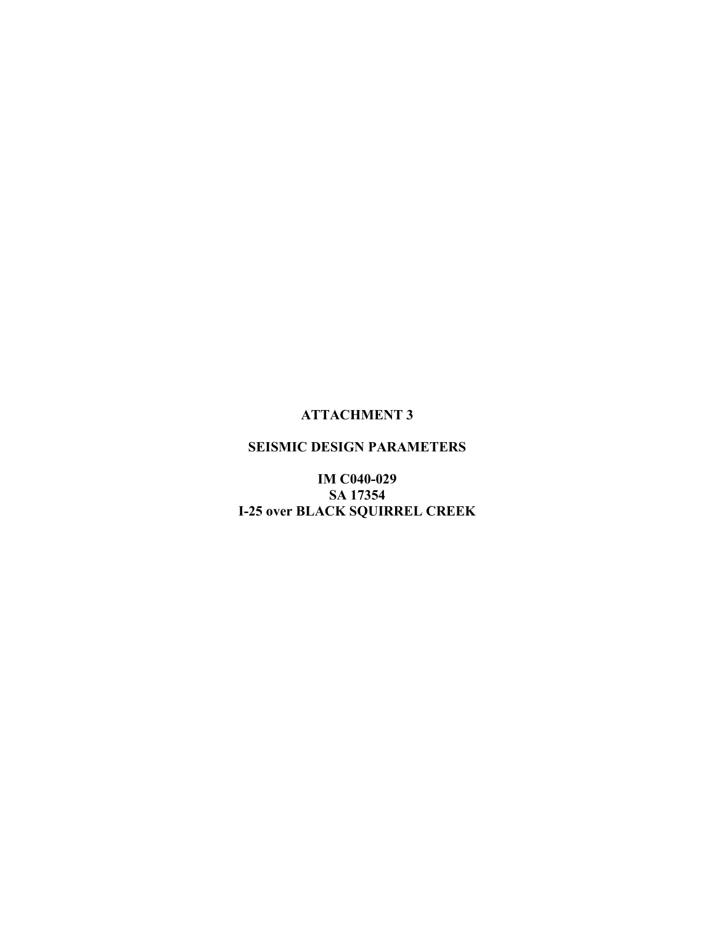## **ATTACHMENT 3**

## SEISMIC DESIGN PARAMETERS

**IM C040-029** SA 17354 **I-25 over BLACK SQUIRREL CREEK**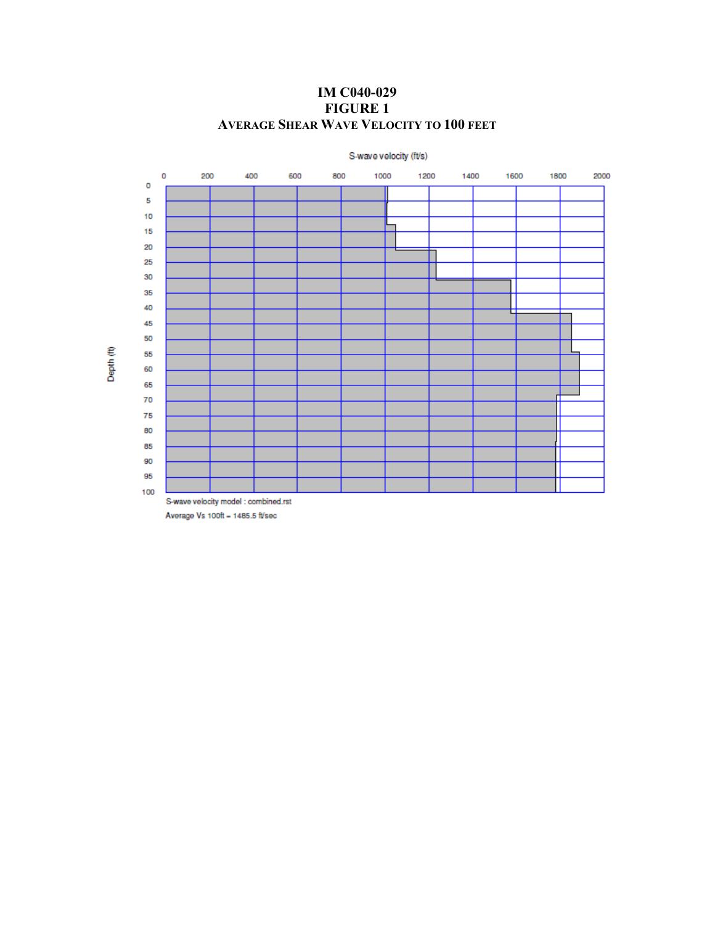S-wave velocity (ft/s)  $\circ$  $\pmb{\circ}$  $70\,$ S-wave velocity model : combined.rst

**IM C040-029 FIGURE 1 AVERAGE SHEAR WAVE VELOCITY TO 100 FEET** 

Depth<sup>(ff)</sup>

Average Vs 100ft = 1485.5 ft/sec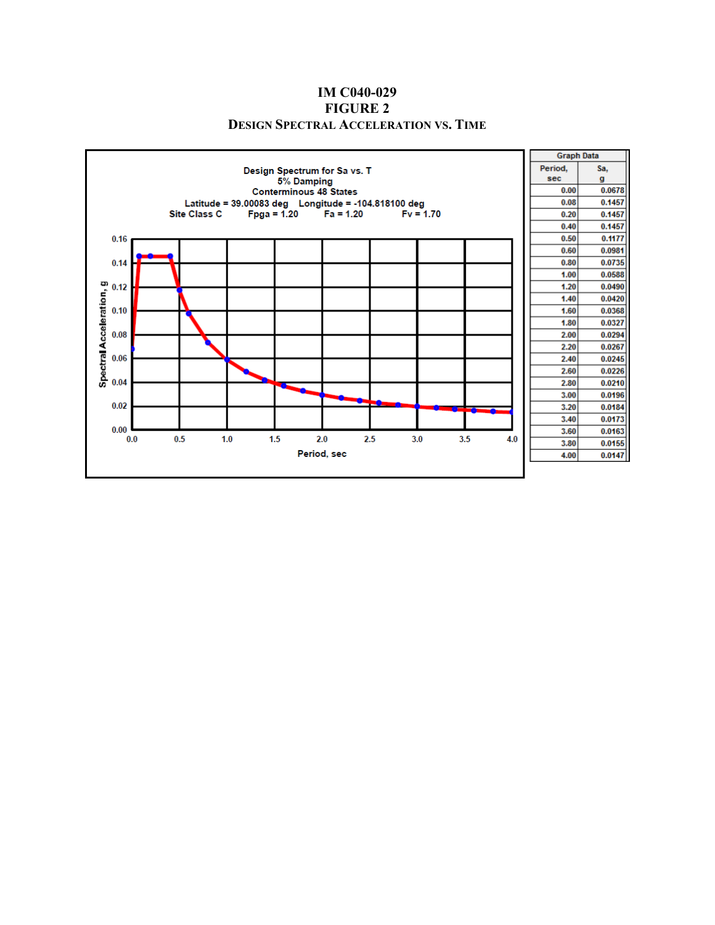#### **IM C040-029 FIGURE 2 DESIGN SPECTRAL ACCELERATION VS. TIME**